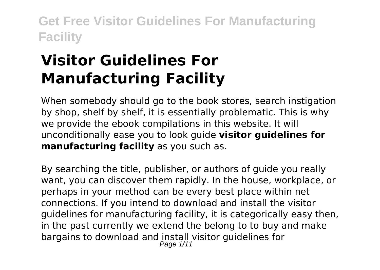# **Visitor Guidelines For Manufacturing Facility**

When somebody should go to the book stores, search instigation by shop, shelf by shelf, it is essentially problematic. This is why we provide the ebook compilations in this website. It will unconditionally ease you to look guide **visitor guidelines for manufacturing facility** as you such as.

By searching the title, publisher, or authors of guide you really want, you can discover them rapidly. In the house, workplace, or perhaps in your method can be every best place within net connections. If you intend to download and install the visitor guidelines for manufacturing facility, it is categorically easy then, in the past currently we extend the belong to to buy and make bargains to download and install visitor guidelines for Page  $1/11$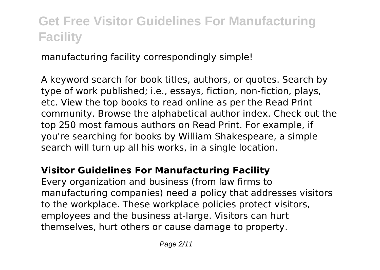manufacturing facility correspondingly simple!

A keyword search for book titles, authors, or quotes. Search by type of work published; i.e., essays, fiction, non-fiction, plays, etc. View the top books to read online as per the Read Print community. Browse the alphabetical author index. Check out the top 250 most famous authors on Read Print. For example, if you're searching for books by William Shakespeare, a simple search will turn up all his works, in a single location.

### **Visitor Guidelines For Manufacturing Facility**

Every organization and business (from law firms to manufacturing companies) need a policy that addresses visitors to the workplace. These workplace policies protect visitors, employees and the business at-large. Visitors can hurt themselves, hurt others or cause damage to property.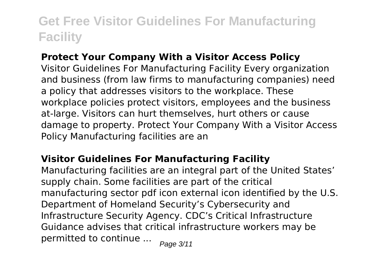### **Protect Your Company With a Visitor Access Policy**

Visitor Guidelines For Manufacturing Facility Every organization and business (from law firms to manufacturing companies) need a policy that addresses visitors to the workplace. These workplace policies protect visitors, employees and the business at-large. Visitors can hurt themselves, hurt others or cause damage to property. Protect Your Company With a Visitor Access Policy Manufacturing facilities are an

#### **Visitor Guidelines For Manufacturing Facility**

Manufacturing facilities are an integral part of the United States' supply chain. Some facilities are part of the critical manufacturing sector pdf icon external icon identified by the U.S. Department of Homeland Security's Cybersecurity and Infrastructure Security Agency. CDC's Critical Infrastructure Guidance advises that critical infrastructure workers may be permitted to continue ...  $_{Page\ 3/11}$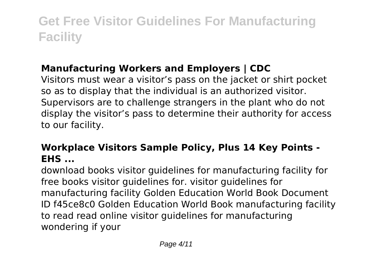### **Manufacturing Workers and Employers | CDC**

Visitors must wear a visitor's pass on the jacket or shirt pocket so as to display that the individual is an authorized visitor. Supervisors are to challenge strangers in the plant who do not display the visitor's pass to determine their authority for access to our facility.

### **Workplace Visitors Sample Policy, Plus 14 Key Points - EHS ...**

download books visitor guidelines for manufacturing facility for free books visitor guidelines for. visitor guidelines for manufacturing facility Golden Education World Book Document ID f45ce8c0 Golden Education World Book manufacturing facility to read read online visitor guidelines for manufacturing wondering if your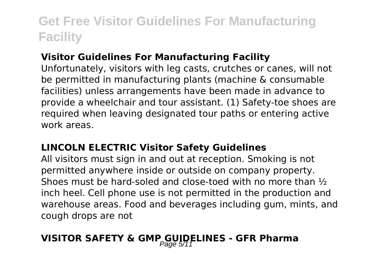#### **Visitor Guidelines For Manufacturing Facility**

Unfortunately, visitors with leg casts, crutches or canes, will not be permitted in manufacturing plants (machine & consumable facilities) unless arrangements have been made in advance to provide a wheelchair and tour assistant. (1) Safety-toe shoes are required when leaving designated tour paths or entering active work areas.

#### **LINCOLN ELECTRIC Visitor Safety Guidelines**

All visitors must sign in and out at reception. Smoking is not permitted anywhere inside or outside on company property. Shoes must be hard-soled and close-toed with no more than ½ inch heel. Cell phone use is not permitted in the production and warehouse areas. Food and beverages including gum, mints, and cough drops are not

### **VISITOR SAFETY & GMP GUIDELINES - GFR Pharma**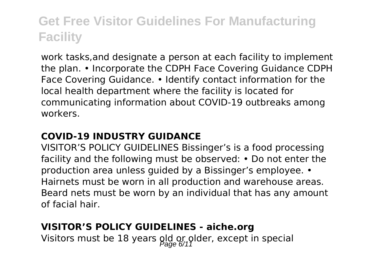work tasks,and designate a person at each facility to implement the plan. • Incorporate the CDPH Face Covering Guidance CDPH Face Covering Guidance. • Identify contact information for the local health department where the facility is located for communicating information about COVID-19 outbreaks among workers.

### **COVID-19 INDUSTRY GUIDANCE**

VISITOR'S POLICY GUIDELINES Bissinger's is a food processing facility and the following must be observed: • Do not enter the production area unless guided by a Bissinger's employee. • Hairnets must be worn in all production and warehouse areas. Beard nets must be worn by an individual that has any amount of facial hair.

#### **VISITOR'S POLICY GUIDELINES - aiche.org**

Visitors must be 18 years old or plder, except in special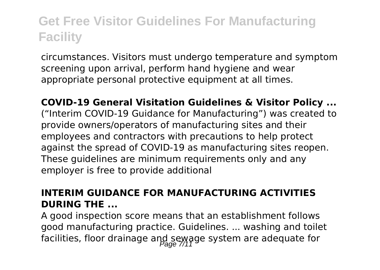circumstances. Visitors must undergo temperature and symptom screening upon arrival, perform hand hygiene and wear appropriate personal protective equipment at all times.

**COVID-19 General Visitation Guidelines & Visitor Policy ...** ("Interim COVID-19 Guidance for Manufacturing") was created to provide owners/operators of manufacturing sites and their employees and contractors with precautions to help protect against the spread of COVID-19 as manufacturing sites reopen. These guidelines are minimum requirements only and any employer is free to provide additional

### **INTERIM GUIDANCE FOR MANUFACTURING ACTIVITIES DURING THE ...**

A good inspection score means that an establishment follows good manufacturing practice. Guidelines. ... washing and toilet facilities, floor drainage and sewage system are adequate for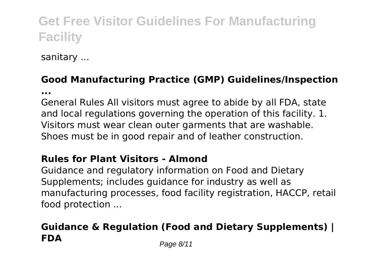sanitary ...

### **Good Manufacturing Practice (GMP) Guidelines/Inspection**

**...**

General Rules All visitors must agree to abide by all FDA, state and local regulations governing the operation of this facility. 1. Visitors must wear clean outer garments that are washable. Shoes must be in good repair and of leather construction.

#### **Rules for Plant Visitors - Almond**

Guidance and regulatory information on Food and Dietary Supplements; includes guidance for industry as well as manufacturing processes, food facility registration, HACCP, retail food protection ...

### **Guidance & Regulation (Food and Dietary Supplements) | FDA** Page 8/11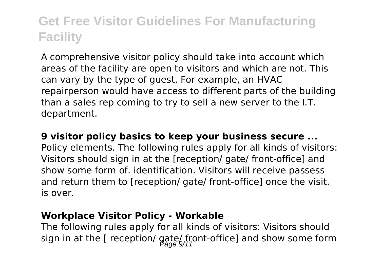A comprehensive visitor policy should take into account which areas of the facility are open to visitors and which are not. This can vary by the type of guest. For example, an HVAC repairperson would have access to different parts of the building than a sales rep coming to try to sell a new server to the I.T. department.

#### **9 visitor policy basics to keep your business secure ...**

Policy elements. The following rules apply for all kinds of visitors: Visitors should sign in at the [reception/ gate/ front-office] and show some form of. identification. Visitors will receive passess and return them to [reception/ gate/ front-office] once the visit. is over.

#### **Workplace Visitor Policy - Workable**

The following rules apply for all kinds of visitors: Visitors should sign in at the [ reception/  $g_{\text{area}}(f_{11})$  retrice] and show some form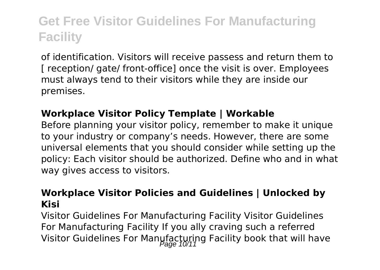of identification. Visitors will receive passess and return them to [ reception/ gate/ front-office] once the visit is over. Employees must always tend to their visitors while they are inside our premises.

### **Workplace Visitor Policy Template | Workable**

Before planning your visitor policy, remember to make it unique to your industry or company's needs. However, there are some universal elements that you should consider while setting up the policy: Each visitor should be authorized. Define who and in what way gives access to visitors.

#### **Workplace Visitor Policies and Guidelines | Unlocked by Kisi**

Visitor Guidelines For Manufacturing Facility Visitor Guidelines For Manufacturing Facility If you ally craving such a referred Visitor Guidelines For Manufacturing Facility book that will have